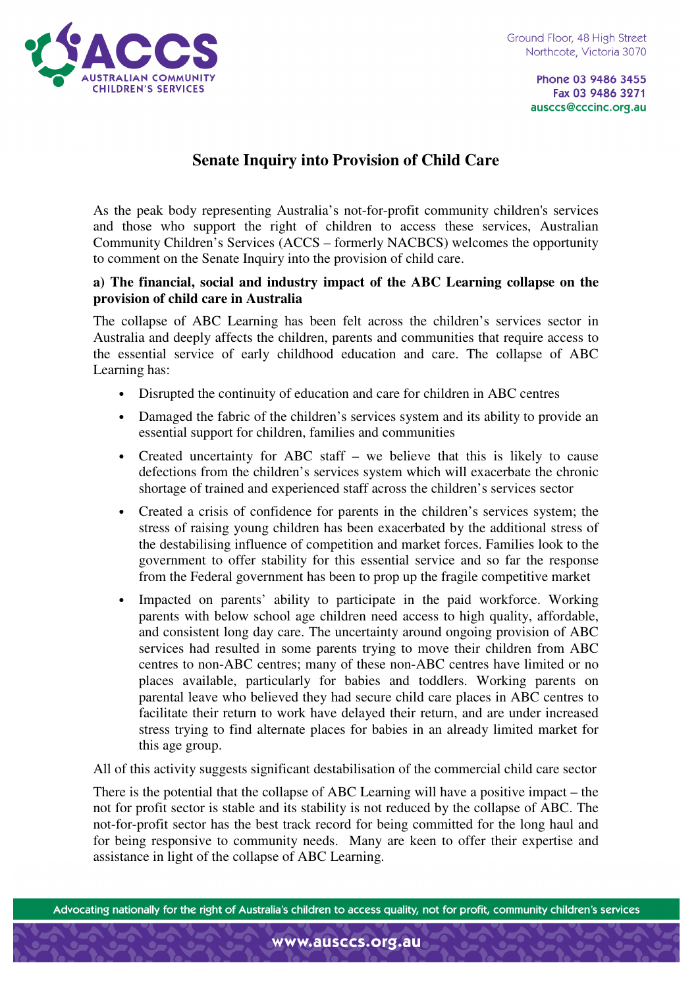

Phone 03 9486 3455 Fax 03 9486 3271 ausccs@cccinc.org.au

# **Senate Inquiry into Provision of Child Care**

As the peak body representing Australia's not-for-profit community children's services and those who support the right of children to access these services, Australian Community Children's Services (ACCS – formerly NACBCS) welcomes the opportunity to comment on the Senate Inquiry into the provision of child care.

#### **a) The financial, social and industry impact of the ABC Learning collapse on the provision of child care in Australia**

The collapse of ABC Learning has been felt across the children's services sector in Australia and deeply affects the children, parents and communities that require access to the essential service of early childhood education and care. The collapse of ABC Learning has:

- Disrupted the continuity of education and care for children in ABC centres
- Damaged the fabric of the children's services system and its ability to provide an essential support for children, families and communities
- Created uncertainty for ABC staff we believe that this is likely to cause defections from the children's services system which will exacerbate the chronic shortage of trained and experienced staff across the children's services sector
- Created a crisis of confidence for parents in the children's services system; the stress of raising young children has been exacerbated by the additional stress of the destabilising influence of competition and market forces. Families look to the government to offer stability for this essential service and so far the response from the Federal government has been to prop up the fragile competitive market
- Impacted on parents' ability to participate in the paid workforce. Working parents with below school age children need access to high quality, affordable, and consistent long day care. The uncertainty around ongoing provision of ABC services had resulted in some parents trying to move their children from ABC centres to non-ABC centres; many of these non-ABC centres have limited or no places available, particularly for babies and toddlers. Working parents on parental leave who believed they had secure child care places in ABC centres to facilitate their return to work have delayed their return, and are under increased stress trying to find alternate places for babies in an already limited market for this age group.

All of this activity suggests significant destabilisation of the commercial child care sector

There is the potential that the collapse of ABC Learning will have a positive impact – the not for profit sector is stable and its stability is not reduced by the collapse of ABC. The not-for-profit sector has the best track record for being committed for the long haul and for being responsive to community needs. Many are keen to offer their expertise and assistance in light of the collapse of ABC Learning.

Advocating nationally for the right of Australia's children to access quality, not for profit, community children's services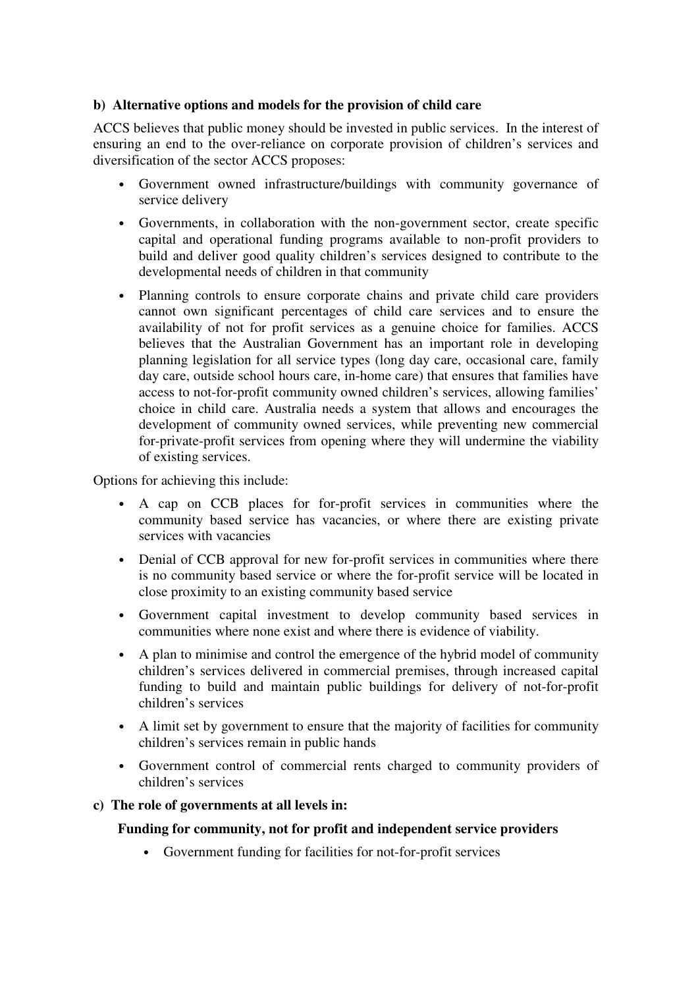# **b) Alternative options and models for the provision of child care**

ACCS believes that public money should be invested in public services. In the interest of ensuring an end to the over-reliance on corporate provision of children's services and diversification of the sector ACCS proposes:

- Government owned infrastructure/buildings with community governance of service delivery
- Governments, in collaboration with the non-government sector, create specific capital and operational funding programs available to non-profit providers to build and deliver good quality children's services designed to contribute to the developmental needs of children in that community
- Planning controls to ensure corporate chains and private child care providers cannot own significant percentages of child care services and to ensure the availability of not for profit services as a genuine choice for families. ACCS believes that the Australian Government has an important role in developing planning legislation for all service types (long day care, occasional care, family day care, outside school hours care, in-home care) that ensures that families have access to not-for-profit community owned children's services, allowing families' choice in child care. Australia needs a system that allows and encourages the development of community owned services, while preventing new commercial for-private-profit services from opening where they will undermine the viability of existing services.

Options for achieving this include:

- A cap on CCB places for for-profit services in communities where the community based service has vacancies, or where there are existing private services with vacancies
- Denial of CCB approval for new for-profit services in communities where there is no community based service or where the for-profit service will be located in close proximity to an existing community based service
- Government capital investment to develop community based services in communities where none exist and where there is evidence of viability.
- A plan to minimise and control the emergence of the hybrid model of community children's services delivered in commercial premises, through increased capital funding to build and maintain public buildings for delivery of not-for-profit children's services
- A limit set by government to ensure that the majority of facilities for community children's services remain in public hands
- Government control of commercial rents charged to community providers of children's services

# **c) The role of governments at all levels in:**

# **Funding for community, not for profit and independent service providers**

• Government funding for facilities for not-for-profit services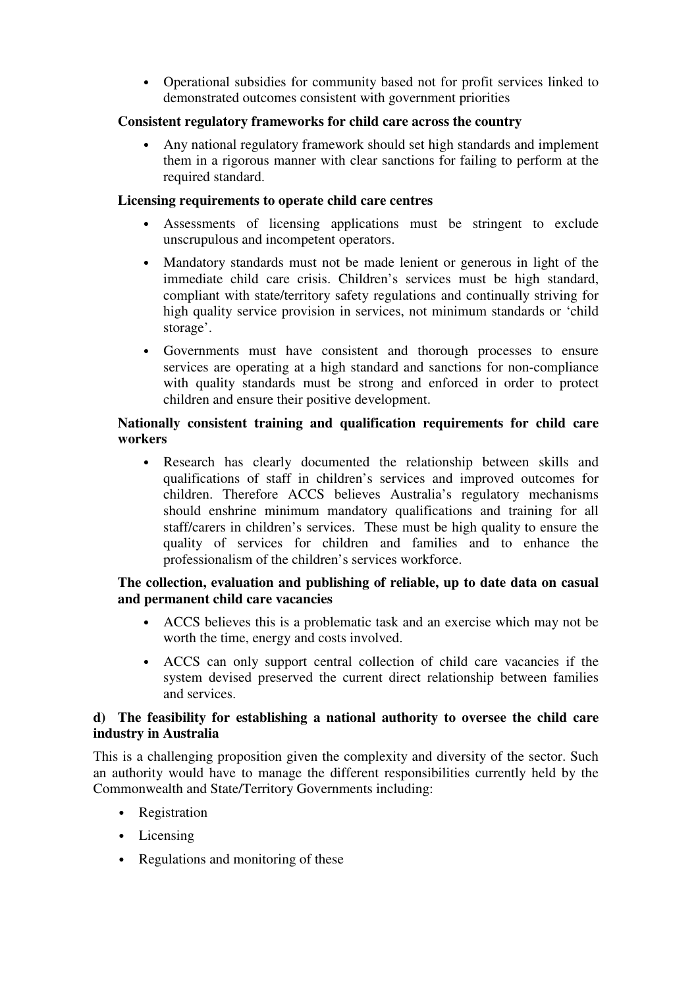• Operational subsidies for community based not for profit services linked to demonstrated outcomes consistent with government priorities

## **Consistent regulatory frameworks for child care across the country**

• Any national regulatory framework should set high standards and implement them in a rigorous manner with clear sanctions for failing to perform at the required standard.

#### **Licensing requirements to operate child care centres**

- Assessments of licensing applications must be stringent to exclude unscrupulous and incompetent operators.
- Mandatory standards must not be made lenient or generous in light of the immediate child care crisis. Children's services must be high standard, compliant with state/territory safety regulations and continually striving for high quality service provision in services, not minimum standards or 'child storage'.
- Governments must have consistent and thorough processes to ensure services are operating at a high standard and sanctions for non-compliance with quality standards must be strong and enforced in order to protect children and ensure their positive development.

## **Nationally consistent training and qualification requirements for child care workers**

• Research has clearly documented the relationship between skills and qualifications of staff in children's services and improved outcomes for children. Therefore ACCS believes Australia's regulatory mechanisms should enshrine minimum mandatory qualifications and training for all staff/carers in children's services. These must be high quality to ensure the quality of services for children and families and to enhance the professionalism of the children's services workforce.

### **The collection, evaluation and publishing of reliable, up to date data on casual and permanent child care vacancies**

- ACCS believes this is a problematic task and an exercise which may not be worth the time, energy and costs involved.
- ACCS can only support central collection of child care vacancies if the system devised preserved the current direct relationship between families and services.

### **d) The feasibility for establishing a national authority to oversee the child care industry in Australia**

This is a challenging proposition given the complexity and diversity of the sector. Such an authority would have to manage the different responsibilities currently held by the Commonwealth and State/Territory Governments including:

- Registration
- Licensing
- Regulations and monitoring of these